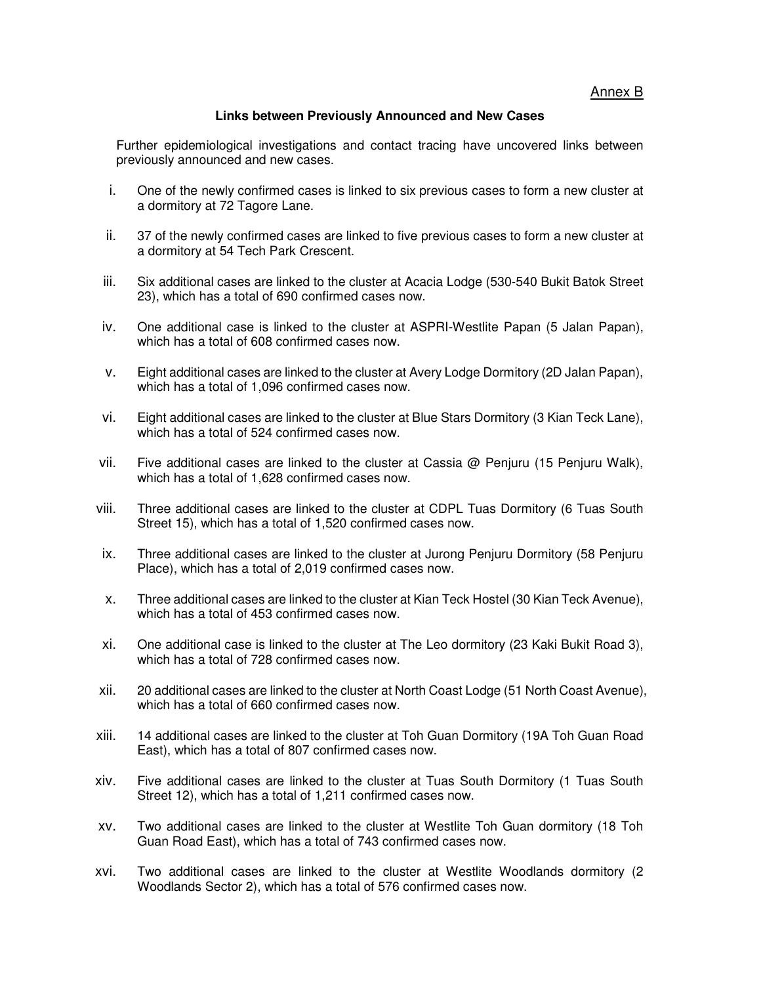Annex B

## **Links between Previously Announced and New Cases**

Further epidemiological investigations and contact tracing have uncovered links between previously announced and new cases.

- i. One of the newly confirmed cases is linked to six previous cases to form a new cluster at a dormitory at 72 Tagore Lane.
- ii. 37 of the newly confirmed cases are linked to five previous cases to form a new cluster at a dormitory at 54 Tech Park Crescent.
- iii. Six additional cases are linked to the cluster at Acacia Lodge (530-540 Bukit Batok Street 23), which has a total of 690 confirmed cases now.
- iv. One additional case is linked to the cluster at ASPRI-Westlite Papan (5 Jalan Papan), which has a total of 608 confirmed cases now.
- v. Eight additional cases are linked to the cluster at Avery Lodge Dormitory (2D Jalan Papan), which has a total of 1,096 confirmed cases now.
- vi. Eight additional cases are linked to the cluster at Blue Stars Dormitory (3 Kian Teck Lane), which has a total of 524 confirmed cases now.
- vii. Five additional cases are linked to the cluster at Cassia  $@$  Penjuru (15 Penjuru Walk), which has a total of 1,628 confirmed cases now.
- viii. Three additional cases are linked to the cluster at CDPL Tuas Dormitory (6 Tuas South Street 15), which has a total of 1,520 confirmed cases now.
- ix. Three additional cases are linked to the cluster at Jurong Penjuru Dormitory (58 Penjuru Place), which has a total of 2,019 confirmed cases now.
- x. Three additional cases are linked to the cluster at Kian Teck Hostel (30 Kian Teck Avenue), which has a total of 453 confirmed cases now.
- xi. One additional case is linked to the cluster at The Leo dormitory (23 Kaki Bukit Road 3), which has a total of 728 confirmed cases now.
- xii. 20 additional cases are linked to the cluster at North Coast Lodge (51 North Coast Avenue), which has a total of 660 confirmed cases now.
- xiii. 14 additional cases are linked to the cluster at Toh Guan Dormitory (19A Toh Guan Road East), which has a total of 807 confirmed cases now.
- xiv. Five additional cases are linked to the cluster at Tuas South Dormitory (1 Tuas South Street 12), which has a total of 1,211 confirmed cases now.
- xv. Two additional cases are linked to the cluster at Westlite Toh Guan dormitory (18 Toh Guan Road East), which has a total of 743 confirmed cases now.
- xvi. Two additional cases are linked to the cluster at Westlite Woodlands dormitory (2 Woodlands Sector 2), which has a total of 576 confirmed cases now.